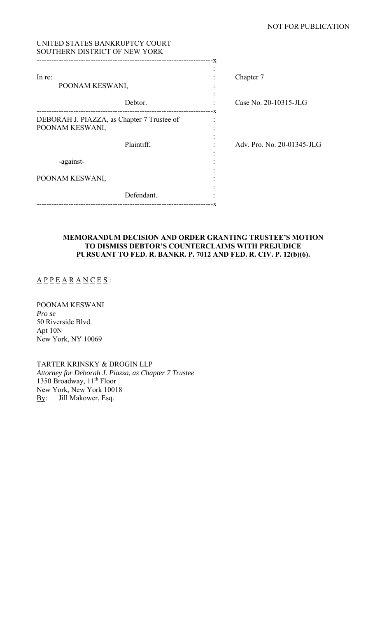| UNITED STATES BANKRUPTCY COURT<br>SOUTHERN DISTRICT OF NEW YORK                                |    |                            |
|------------------------------------------------------------------------------------------------|----|----------------------------|
|                                                                                                |    |                            |
| In re:                                                                                         |    | Chapter 7                  |
| POONAM KESWANI,                                                                                |    |                            |
| Debtor.                                                                                        |    | Case No. 20-10315-JLG      |
| -----------------------------<br>DEBORAH J. PIAZZA, as Chapter 7 Trustee of<br>POONAM KESWANI, | -X |                            |
| Plaintiff,                                                                                     |    | Adv. Pro. No. 20-01345-JLG |
| -against-                                                                                      |    |                            |
| POONAM KESWANI,                                                                                |    |                            |
| Defendant.<br>------------------<br>------------------------                                   | -x |                            |

# **MEMORANDUM DECISION AND ORDER GRANTING TRUSTEE'S MOTION TO DISMISS DEBTOR'S COUNTERCLAIMS WITH PREJUDICE PURSUANT TO FED. R. BANKR. P. 7012 AND FED. R. CIV. P. 12(b)(6).**

 $\underline{A} \underline{P} \underline{P} \underline{E} \underline{A} \underline{R} \underline{A} \underline{N} \underline{C} \underline{E} \underline{S}$ :

POONAM KESWANI *Pro se* 50 Riverside Blvd. Apt 10N New York, NY 10069

TARTER KRINSKY & DROGIN LLP *Attorney for Deborah J. Piazza, as Chapter 7 Trustee*  1350 Broadway, 11<sup>th</sup> Floor New York, New York 10018 By: Jill Makower, Esq.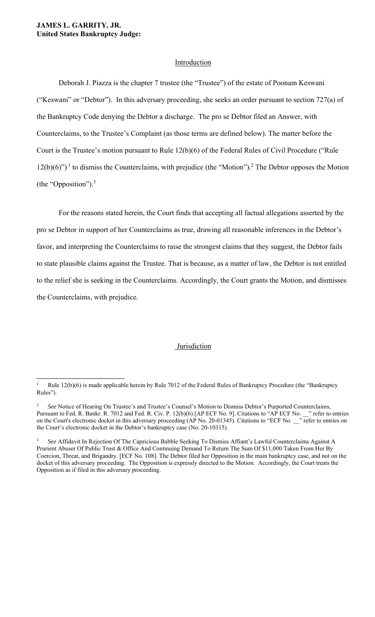### **JAMES L. GARRITY, JR. United States Bankruptcy Judge:**

### **Introduction**

Deborah J. Piazza is the chapter 7 trustee (the "Trustee") of the estate of Poonam Keswani ("Keswani" or "Debtor"). In this adversary proceeding, she seeks an order pursuant to section 727(a) of the Bankruptcy Code denying the Debtor a discharge. The pro se Debtor filed an Answer, with Counterclaims, to the Trustee's Complaint (as those terms are defined below). The matter before the Court is the Trustee's motion pursuant to Rule 12(b)(6) of the Federal Rules of Civil Procedure ("Rule  $12(b)(6)$ ")<sup>1</sup> to dismiss the Counterclaims, with prejudice (the "Motion").<sup>2</sup> The Debtor opposes the Motion (the "Opposition"). $3$ 

For the reasons stated herein, the Court finds that accepting all factual allegations asserted by the pro se Debtor in support of her Counterclaims as true, drawing all reasonable inferences in the Debtor's favor, and interpreting the Counterclaims to raise the strongest claims that they suggest, the Debtor fails to state plausible claims against the Trustee. That is because, as a matter of law, the Debtor is not entitled to the relief she is seeking in the Counterclaims. Accordingly, the Court grants the Motion, and dismisses the Counterclaims, with prejudice.

### Jurisdiction

<sup>1</sup> Rule 12(b)(6) is made applicable herein by Rule 7012 of the Federal Rules of Bankruptcy Procedure (the "Bankruptcy Rules").

<sup>2</sup> *See* Notice of Hearing On Trustee's and Trustee's Counsel's Motion to Dismiss Debtor's Purported Counterclaims, Pursuant to Fed. R. Bankr. R. 7012 and Fed. R. Civ. P. 12(b)(6) [AP ECF No. 9]. Citations to "AP ECF No. \_\_\_" refer to entries on the Court's electronic docket in this adversary proceeding (AP No. 20-01345). Citations to "ECF No. \_\_" refer to entries on the Court's electronic docket in the Debtor's bankruptcy case (No. 20-10315).

<sup>3</sup> *See* Affidavit In Rejection Of The Capricious Babble Seeking To Dismiss Affiant's Lawful Counterclaims Against A Prurient Abuser Of Public Trust & Office And Continuing Demand To Return The Sum Of \$11,000 Taken From Her By Coercion, Threat, and Brigandry. [ECF No. 108]. The Debtor filed her Opposition in the main bankruptcy case, and not on the docket of this adversary proceeding. The Opposition is expressly directed to the Motion. Accordingly, the Court treats the Opposition as if filed in this adversary proceeding.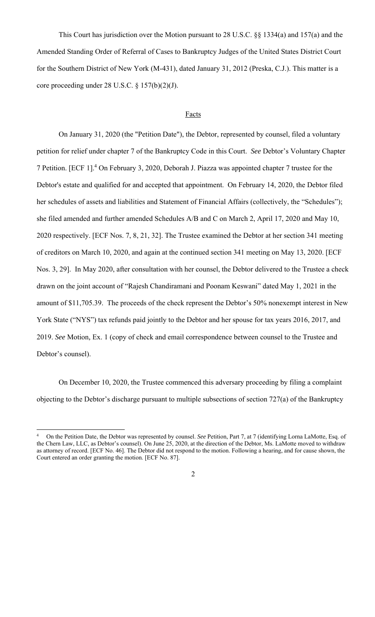This Court has jurisdiction over the Motion pursuant to 28 U.S.C. §§ 1334(a) and 157(a) and the Amended Standing Order of Referral of Cases to Bankruptcy Judges of the United States District Court for the Southern District of New York (M-431), dated January 31, 2012 (Preska, C.J.). This matter is a core proceeding under 28 U.S.C. § 157(b)(2)(J).

#### **Facts**

 On January 31, 2020 (the "Petition Date"), the Debtor, represented by counsel, filed a voluntary petition for relief under chapter 7 of the Bankruptcy Code in this Court. *See* Debtor's Voluntary Chapter 7 Petition. [ECF 1].<sup>4</sup> On February 3, 2020, Deborah J. Piazza was appointed chapter 7 trustee for the Debtor's estate and qualified for and accepted that appointment. On February 14, 2020, the Debtor filed her schedules of assets and liabilities and Statement of Financial Affairs (collectively, the "Schedules"); she filed amended and further amended Schedules A/B and C on March 2, April 17, 2020 and May 10, 2020 respectively. [ECF Nos. 7, 8, 21, 32]. The Trustee examined the Debtor at her section 341 meeting of creditors on March 10, 2020, and again at the continued section 341 meeting on May 13, 2020. [ECF Nos. 3, 29]. In May 2020, after consultation with her counsel, the Debtor delivered to the Trustee a check drawn on the joint account of "Rajesh Chandiramani and Poonam Keswani" dated May 1, 2021 in the amount of \$11,705.39. The proceeds of the check represent the Debtor's 50% nonexempt interest in New York State ("NYS") tax refunds paid jointly to the Debtor and her spouse for tax years 2016, 2017, and 2019. *See* Motion*,* Ex. 1 (copy of check and email correspondence between counsel to the Trustee and Debtor's counsel).

 On December 10, 2020, the Trustee commenced this adversary proceeding by filing a complaint objecting to the Debtor's discharge pursuant to multiple subsections of section 727(a) of the Bankruptcy

<sup>4</sup> On the Petition Date, the Debtor was represented by counsel. *See* Petition, Part 7, at 7 (identifying Lorna LaMotte, Esq. of the Chern Law, LLC, as Debtor's counsel). On June 25, 2020, at the direction of the Debtor, Ms. LaMotte moved to withdraw as attorney of record. [ECF No. 46]. The Debtor did not respond to the motion. Following a hearing, and for cause shown, the Court entered an order granting the motion. [ECF No. 87].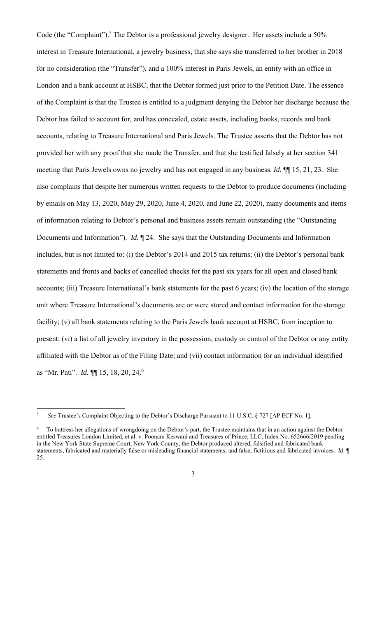Code (the "Complaint").<sup>5</sup> The Debtor is a professional jewelry designer. Her assets include a 50% interest in Treasure International, a jewelry business, that she says she transferred to her brother in 2018 for no consideration (the "Transfer"), and a 100% interest in Paris Jewels, an entity with an office in London and a bank account at HSBC, that the Debtor formed just prior to the Petition Date. The essence of the Complaint is that the Trustee is entitled to a judgment denying the Debtor her discharge because the Debtor has failed to account for, and has concealed, estate assets, including books, records and bank accounts, relating to Treasure International and Paris Jewels. The Trustee asserts that the Debtor has not provided her with any proof that she made the Transfer, and that she testified falsely at her section 341 meeting that Paris Jewels owns no jewelry and has not engaged in any business. *Id.* ¶¶ 15, 21, 23. She also complains that despite her numerous written requests to the Debtor to produce documents (including by emails on May 13, 2020, May 29, 2020, June 4, 2020, and June 22, 2020), many documents and items of information relating to Debtor's personal and business assets remain outstanding (the "Outstanding Documents and Information"). *Id.* ¶ 24. She says that the Outstanding Documents and Information includes, but is not limited to: (i) the Debtor's 2014 and 2015 tax returns; (ii) the Debtor's personal bank statements and fronts and backs of cancelled checks for the past six years for all open and closed bank accounts; (iii) Treasure International's bank statements for the past 6 years; (iv) the location of the storage unit where Treasure International's documents are or were stored and contact information for the storage facility; (v) all bank statements relating to the Paris Jewels bank account at HSBC, from inception to present; (vi) a list of all jewelry inventory in the possession, custody or control of the Debtor or any entity affiliated with the Debtor as of the Filing Date; and (vii) contact information for an individual identified as "Mr. Pati". *Id.* ¶¶ 15, 18, 20, 24.<sup>6</sup>

<sup>5</sup> *See* Trustee's Complaint Objecting to the Debtor's Discharge Pursuant to 11 U.S.C. § 727 [AP ECF No. 1].

<sup>6</sup> To buttress her allegations of wrongdoing on the Debtor's part, the Trustee maintains that in an action against the Debtor entitled Treasures London Limited, et al. v. Poonam Keswani and Treasures of Prince, LLC, Index No. 652666/2019 pending in the New York State Supreme Court, New York County, the Debtor produced altered, falsified and fabricated bank statements, fabricated and materially false or misleading financial statements, and false, fictitious and fabricated invoices. *Id*. ¶ 25.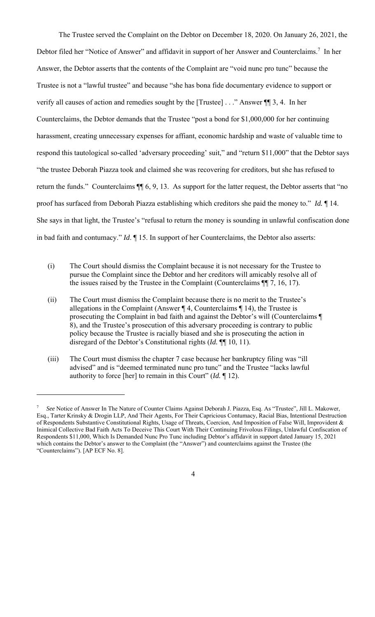The Trustee served the Complaint on the Debtor on December 18, 2020. On January 26, 2021, the Debtor filed her "Notice of Answer" and affidavit in support of her Answer and Counterclaims.<sup>7</sup> In her Answer, the Debtor asserts that the contents of the Complaint are "void nunc pro tunc" because the Trustee is not a "lawful trustee" and because "she has bona fide documentary evidence to support or verify all causes of action and remedies sought by the [Trustee] . . ." Answer ¶¶ 3, 4. In her Counterclaims, the Debtor demands that the Trustee "post a bond for \$1,000,000 for her continuing harassment, creating unnecessary expenses for affiant, economic hardship and waste of valuable time to respond this tautological so-called 'adversary proceeding' suit," and "return \$11,000" that the Debtor says "the trustee Deborah Piazza took and claimed she was recovering for creditors, but she has refused to return the funds." Counterclaims ¶¶ 6, 9, 13. As support for the latter request, the Debtor asserts that "no proof has surfaced from Deborah Piazza establishing which creditors she paid the money to." *Id.* ¶ 14. She says in that light, the Trustee's "refusal to return the money is sounding in unlawful confiscation done in bad faith and contumacy." *Id*. ¶ 15. In support of her Counterclaims, the Debtor also asserts:

- (i) The Court should dismiss the Complaint because it is not necessary for the Trustee to pursue the Complaint since the Debtor and her creditors will amicably resolve all of the issues raised by the Trustee in the Complaint (Counterclaims ¶¶ 7, 16, 17).
- (ii) The Court must dismiss the Complaint because there is no merit to the Trustee's allegations in the Complaint (Answer  $\P$  4, Counterclaims  $\P$  14), the Trustee is prosecuting the Complaint in bad faith and against the Debtor's will (Counterclaims ¶ 8), and the Trustee's prosecution of this adversary proceeding is contrary to public policy because the Trustee is racially biased and she is prosecuting the action in disregard of the Debtor's Constitutional rights (*Id.* ¶¶ 10, 11).
- (iii) The Court must dismiss the chapter 7 case because her bankruptcy filing was "ill advised" and is "deemed terminated nunc pro tunc" and the Trustee "lacks lawful authority to force [her] to remain in this Court" (*Id.* ¶ 12).

<sup>7</sup> *See* Notice of Answer In The Nature of Counter Claims Against Deborah J. Piazza, Esq. As "Trustee", Jill L. Makower, Esq., Tarter Krinsky & Drogin LLP, And Their Agents, For Their Capricious Contumacy, Racial Bias, Intentional Destruction of Respondents Substantive Constitutional Rights, Usage of Threats, Coercion, And Imposition of False Will, Improvident & Inimical Collective Bad Faith Acts To Deceive This Court With Their Continuing Frivolous Filings, Unlawful Confiscation of Respondents \$11,000, Which Is Demanded Nunc Pro Tunc including Debtor's affidavit in support dated January 15, 2021 which contains the Debtor's answer to the Complaint (the "Answer") and counterclaims against the Trustee (the "Counterclaims"). [AP ECF No. 8].

<sup>4</sup>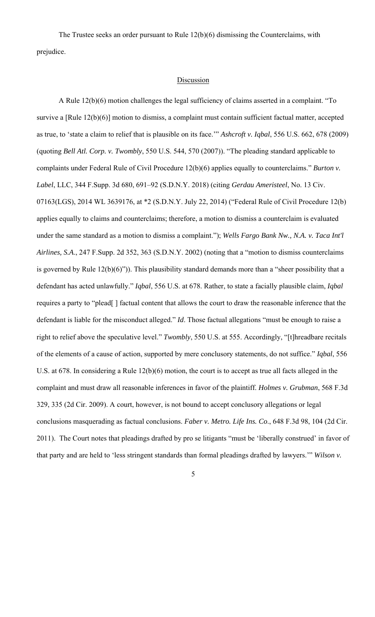The Trustee seeks an order pursuant to Rule 12(b)(6) dismissing the Counterclaims, with prejudice.

### **Discussion**

A Rule 12(b)(6) motion challenges the legal sufficiency of claims asserted in a complaint. "To survive a [Rule 12(b)(6)] motion to dismiss, a complaint must contain sufficient factual matter, accepted as true, to 'state a claim to relief that is plausible on its face.'" *Ashcroft v. Iqbal*, 556 U.S. 662, 678 (2009) (quoting *Bell Atl. Corp. v. Twombly*, 550 U.S. 544, 570 (2007)). "The pleading standard applicable to complaints under Federal Rule of Civil Procedure 12(b)(6) applies equally to counterclaims." *Burton v. Label*, LLC, 344 F.Supp. 3d 680, 691–92 (S.D.N.Y. 2018) (citing *Gerdau Ameristeel*, No. 13 Civ. 07163(LGS), 2014 WL 3639176, at \*2 (S.D.N.Y. July 22, 2014) ("Federal Rule of Civil Procedure 12(b) applies equally to claims and counterclaims; therefore, a motion to dismiss a counterclaim is evaluated under the same standard as a motion to dismiss a complaint."); *Wells Fargo Bank Nw., N.A. v. Taca Int'l Airlines, S.A*., 247 F.Supp. 2d 352, 363 (S.D.N.Y. 2002) (noting that a "motion to dismiss counterclaims is governed by Rule 12(b)(6)")). This plausibility standard demands more than a "sheer possibility that a defendant has acted unlawfully." *Iqbal*, 556 U.S. at 678. Rather, to state a facially plausible claim, *Iqbal* requires a party to "plead[ ] factual content that allows the court to draw the reasonable inference that the defendant is liable for the misconduct alleged." *Id*. Those factual allegations "must be enough to raise a right to relief above the speculative level." *Twombly*, 550 U.S. at 555. Accordingly, "[t]hreadbare recitals of the elements of a cause of action, supported by mere conclusory statements, do not suffice." *Iqbal*, 556 U.S. at 678. In considering a Rule 12(b)(6) motion, the court is to accept as true all facts alleged in the complaint and must draw all reasonable inferences in favor of the plaintiff. *Holmes v. Grubman*, 568 F.3d 329, 335 (2d Cir. 2009). A court, however, is not bound to accept conclusory allegations or legal conclusions masquerading as factual conclusions. *Faber v. Metro. Life Ins. Co*., 648 F.3d 98, 104 (2d Cir. 2011). The Court notes that pleadings drafted by pro se litigants "must be 'liberally construed' in favor of that party and are held to 'less stringent standards than formal pleadings drafted by lawyers.'" *Wilson v.*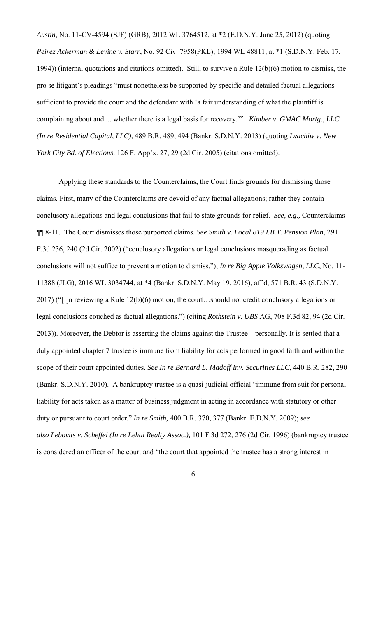*Austin*, No. 11-CV-4594 (SJF) (GRB), 2012 WL 3764512, at \*2 (E.D.N.Y. June 25, 2012) (quoting *Peirez Ackerman & Levine v. Starr*, No. 92 Civ. 7958(PKL), 1994 WL 48811, at \*1 (S.D.N.Y. Feb. 17, 1994)) (internal quotations and citations omitted). Still, to survive a Rule 12(b)(6) motion to dismiss, the pro se litigant's pleadings "must nonetheless be supported by specific and detailed factual allegations sufficient to provide the court and the defendant with 'a fair understanding of what the plaintiff is complaining about and ... whether there is a legal basis for recovery.'" *Kimber v. GMAC Mortg., LLC (In re Residential Capital, LLC)*, 489 B.R. 489, 494 (Bankr. S.D.N.Y. 2013) (quoting *Iwachiw v. New York City Bd. of Elections,* 126 F. App'x. 27, 29 (2d Cir. 2005) (citations omitted).

Applying these standards to the Counterclaims, the Court finds grounds for dismissing those claims. First, many of the Counterclaims are devoid of any factual allegations; rather they contain conclusory allegations and legal conclusions that fail to state grounds for relief. *See, e.g.,* Counterclaims ¶¶ 8-11.The Court dismisses those purported claims. *See Smith v. Local 819 I.B.T. Pension Plan*, 291 F.3d 236, 240 (2d Cir. 2002) ("conclusory allegations or legal conclusions masquerading as factual conclusions will not suffice to prevent a motion to dismiss."); *In re Big Apple Volkswagen, LLC*, No. 11- 11388 (JLG), 2016 WL 3034744, at \*4 (Bankr. S.D.N.Y. May 19, 2016), aff'd, 571 B.R. 43 (S.D.N.Y. 2017) ("[I]n reviewing a Rule 12(b)(6) motion, the court…should not credit conclusory allegations or legal conclusions couched as factual allegations.") (citing *Rothstein v. UBS* AG, 708 F.3d 82, 94 (2d Cir. 2013)). Moreover, the Debtor is asserting the claims against the Trustee – personally. It is settled that a duly appointed chapter 7 trustee is immune from liability for acts performed in good faith and within the scope of their court appointed duties. *See In re Bernard L. Madoff Inv. Securities LLC*, 440 B.R. 282, 290 (Bankr. S.D.N.Y. 2010). A bankruptcy trustee is a quasi-judicial official "immune from suit for personal liability for acts taken as a matter of business judgment in acting in accordance with statutory or other duty or pursuant to court order." *In re Smith,* 400 B.R. 370, 377 (Bankr. E.D.N.Y. 2009); *see also Lebovits v. Scheffel (In re Lehal Realty Assoc.),* 101 F.3d 272, 276 (2d Cir. 1996) (bankruptcy trustee is considered an officer of the court and "the court that appointed the trustee has a strong interest in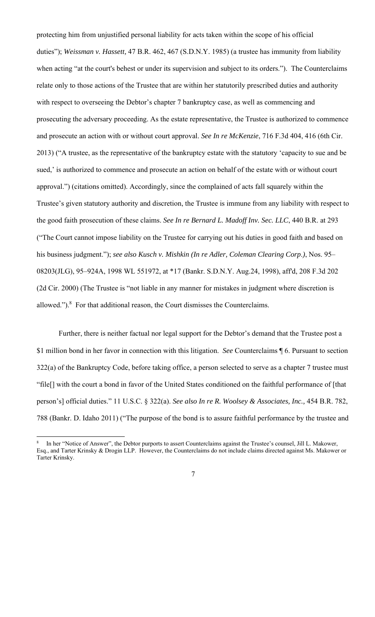protecting him from unjustified personal liability for acts taken within the scope of his official duties"); *Weissman v. Hassett,* 47 B.R. 462, 467 (S.D.N.Y. 1985) (a trustee has immunity from liability when acting "at the court's behest or under its supervision and subject to its orders."). The Counterclaims relate only to those actions of the Trustee that are within her statutorily prescribed duties and authority with respect to overseeing the Debtor's chapter 7 bankruptcy case, as well as commencing and prosecuting the adversary proceeding. As the estate representative, the Trustee is authorized to commence and prosecute an action with or without court approval. *See In re McKenzie*, 716 F.3d 404, 416 (6th Cir. 2013) ("A trustee, as the representative of the bankruptcy estate with the statutory 'capacity to sue and be sued,' is authorized to commence and prosecute an action on behalf of the estate with or without court approval.") (citations omitted). Accordingly, since the complained of acts fall squarely within the Trustee's given statutory authority and discretion, the Trustee is immune from any liability with respect to the good faith prosecution of these claims. *See In re Bernard L. Madoff Inv. Sec. LLC*, 440 B.R. at 293 ("The Court cannot impose liability on the Trustee for carrying out his duties in good faith and based on his business judgment."); *see also Kusch v. Mishkin (In re Adler, Coleman Clearing Corp*.*)*, Nos. 95– 08203(JLG), 95–924A, 1998 WL 551972, at \*17 (Bankr. S.D.N.Y. Aug.24, 1998), aff'd, 208 F.3d 202 (2d Cir. 2000) (The Trustee is "not liable in any manner for mistakes in judgment where discretion is allowed."). $8$  For that additional reason, the Court dismisses the Counterclaims.

Further, there is neither factual nor legal support for the Debtor's demand that the Trustee post a \$1 million bond in her favor in connection with this litigation. *See* Counterclaims ¶ 6. Pursuant to section 322(a) of the Bankruptcy Code, before taking office, a person selected to serve as a chapter 7 trustee must "file[] with the court a bond in favor of the United States conditioned on the faithful performance of [that person's] official duties." 11 U.S.C. § 322(a). *See also In re R. Woolsey & Associates, Inc.,* 454 B.R. 782, 788 (Bankr. D. Idaho 2011) ("The purpose of the bond is to assure faithful performance by the trustee and

<sup>8</sup> In her "Notice of Answer", the Debtor purports to assert Counterclaims against the Trustee's counsel, Jill L. Makower, Esq., and Tarter Krinsky & Drogin LLP. However, the Counterclaims do not include claims directed against Ms. Makower or Tarter Krinsky.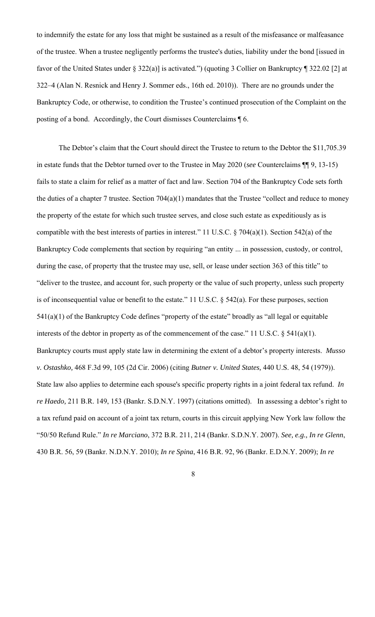to indemnify the estate for any loss that might be sustained as a result of the misfeasance or malfeasance of the trustee. When a trustee negligently performs the trustee's duties, liability under the bond [issued in favor of the United States under § 322(a)] is activated.") (quoting 3 Collier on Bankruptcy ¶ 322.02 [2] at 322–4 (Alan N. Resnick and Henry J. Sommer eds., 16th ed. 2010)). There are no grounds under the Bankruptcy Code, or otherwise, to condition the Trustee's continued prosecution of the Complaint on the posting of a bond. Accordingly, the Court dismisses Counterclaims ¶ 6.

The Debtor's claim that the Court should direct the Trustee to return to the Debtor the \$11,705.39 in estate funds that the Debtor turned over to the Trustee in May 2020 (*see* Counterclaims ¶¶ 9, 13-15) fails to state a claim for relief as a matter of fact and law. Section 704 of the Bankruptcy Code sets forth the duties of a chapter 7 trustee. Section  $704(a)(1)$  mandates that the Trustee "collect and reduce to money the property of the estate for which such trustee serves, and close such estate as expeditiously as is compatible with the best interests of parties in interest." 11 U.S.C. § 704(a)(1). Section 542(a) of the Bankruptcy Code complements that section by requiring "an entity ... in possession, custody, or control, during the case, of property that the trustee may use, sell, or lease under section 363 of this title" to "deliver to the trustee, and account for, such property or the value of such property, unless such property is of inconsequential value or benefit to the estate." 11 U.S.C. § 542(a). For these purposes, section 541(a)(1) of the Bankruptcy Code defines "property of the estate" broadly as "all legal or equitable interests of the debtor in property as of the commencement of the case." 11 U.S.C. § 541(a)(1). Bankruptcy courts must apply state law in determining the extent of a debtor's property interests. *Musso v. Ostashko,* 468 F.3d 99, 105 (2d Cir. 2006) (citing *Butner v. United States,* 440 U.S. 48, 54 (1979)). State law also applies to determine each spouse's specific property rights in a joint federal tax refund. *In re Haedo,* 211 B.R. 149, 153 (Bankr. S.D.N.Y. 1997) (citations omitted). In assessing a debtor's right to a tax refund paid on account of a joint tax return, courts in this circuit applying New York law follow the "50/50 Refund Rule." *In re Marciano*, 372 B.R. 211, 214 (Bankr. S.D.N.Y. 2007). *See, e.g., In re Glenn*, 430 B.R. 56, 59 (Bankr. N.D.N.Y. 2010); *In re Spina*, 416 B.R. 92, 96 (Bankr. E.D.N.Y. 2009); *In re*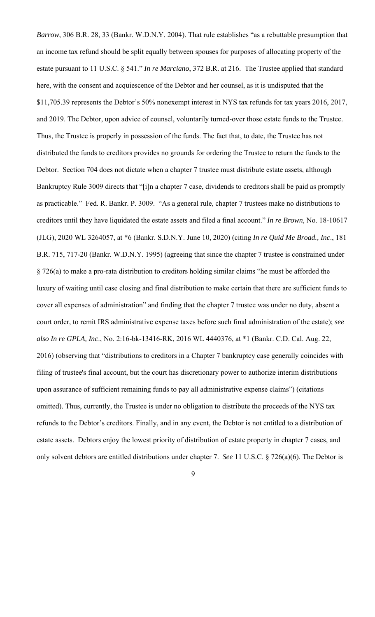*Barrow*, 306 B.R. 28, 33 (Bankr. W.D.N.Y. 2004). That rule establishes "as a rebuttable presumption that an income tax refund should be split equally between spouses for purposes of allocating property of the estate pursuant to 11 U.S.C. § 541." *In re Marciano*, 372 B.R. at 216. The Trustee applied that standard here, with the consent and acquiescence of the Debtor and her counsel, as it is undisputed that the \$11,705.39 represents the Debtor's 50% nonexempt interest in NYS tax refunds for tax years 2016, 2017, and 2019. The Debtor, upon advice of counsel, voluntarily turned-over those estate funds to the Trustee. Thus, the Trustee is properly in possession of the funds. The fact that, to date, the Trustee has not distributed the funds to creditors provides no grounds for ordering the Trustee to return the funds to the Debtor. Section 704 does not dictate when a chapter 7 trustee must distribute estate assets, although Bankruptcy Rule 3009 directs that "[i]n a chapter 7 case, dividends to creditors shall be paid as promptly as practicable." Fed. R. Bankr. P. 3009. "As a general rule, chapter 7 trustees make no distributions to creditors until they have liquidated the estate assets and filed a final account." *In re Brown*, No. 18-10617 (JLG), 2020 WL 3264057, at \*6 (Bankr. S.D.N.Y. June 10, 2020) (citing *In re Quid Me Broad., Inc*., 181 B.R. 715, 717-20 (Bankr. W.D.N.Y. 1995) (agreeing that since the chapter 7 trustee is constrained under § 726(a) to make a pro-rata distribution to creditors holding similar claims "he must be afforded the luxury of waiting until case closing and final distribution to make certain that there are sufficient funds to cover all expenses of administration" and finding that the chapter 7 trustee was under no duty, absent a court order, to remit IRS administrative expense taxes before such final administration of the estate); *see also In re GPLA, Inc*., No. 2:16-bk-13416-RK, 2016 WL 4440376, at \*1 (Bankr. C.D. Cal. Aug. 22, 2016) (observing that "distributions to creditors in a Chapter 7 bankruptcy case generally coincides with filing of trustee's final account, but the court has discretionary power to authorize interim distributions upon assurance of sufficient remaining funds to pay all administrative expense claims") (citations omitted). Thus, currently, the Trustee is under no obligation to distribute the proceeds of the NYS tax refunds to the Debtor's creditors. Finally, and in any event, the Debtor is not entitled to a distribution of estate assets. Debtors enjoy the lowest priority of distribution of estate property in chapter 7 cases, and only solvent debtors are entitled distributions under chapter 7. *See* 11 U.S.C. § 726(a)(6). The Debtor is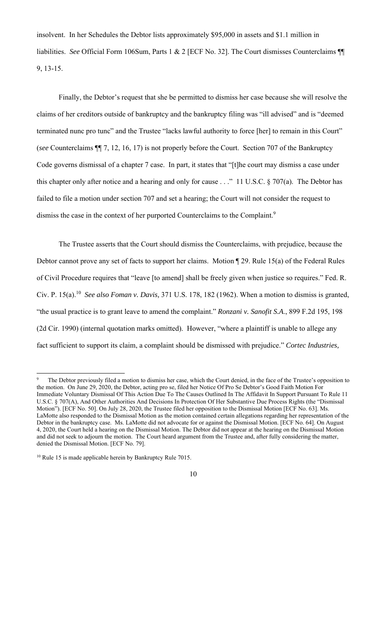insolvent. In her Schedules the Debtor lists approximately \$95,000 in assets and \$1.1 million in liabilities. *See* Official Form 106Sum, Parts 1 & 2 [ECF No. 32]. The Court dismisses Counterclaims ¶¶ 9, 13-15.

 Finally, the Debtor's request that she be permitted to dismiss her case because she will resolve the claims of her creditors outside of bankruptcy and the bankruptcy filing was "ill advised" and is "deemed terminated nunc pro tunc" and the Trustee "lacks lawful authority to force [her] to remain in this Court" (*see* Counterclaims ¶¶ 7, 12, 16, 17) is not properly before the Court. Section 707 of the Bankruptcy Code governs dismissal of a chapter 7 case. In part, it states that "[t]he court may dismiss a case under this chapter only after notice and a hearing and only for cause . . ." 11 U.S.C. § 707(a). The Debtor has failed to file a motion under section 707 and set a hearing; the Court will not consider the request to dismiss the case in the context of her purported Counterclaims to the Complaint.<sup>9</sup>

The Trustee asserts that the Court should dismiss the Counterclaims, with prejudice, because the Debtor cannot prove any set of facts to support her claims. Motion ¶ 29. Rule 15(a) of the Federal Rules of Civil Procedure requires that "leave [to amend] shall be freely given when justice so requires." Fed. R. Civ. P. 15(a).10 *See also Foman v. Davis,* 371 U.S. 178, 182 (1962). When a motion to dismiss is granted, "the usual practice is to grant leave to amend the complaint." *Ronzani v. Sanofit S.A*., 899 F.2d 195, 198 (2d Cir. 1990) (internal quotation marks omitted). However, "where a plaintiff is unable to allege any fact sufficient to support its claim, a complaint should be dismissed with prejudice." *Cortec Industries,* 

<sup>9</sup> The Debtor previously filed a motion to dismiss her case, which the Court denied, in the face of the Trustee's opposition to the motion. On June 29, 2020, the Debtor, acting pro se, filed her Notice Of Pro Se Debtor's Good Faith Motion For Immediate Voluntary Dismissal Of This Action Due To The Causes Outlined In The Affidavit In Support Pursuant To Rule 11 U.S.C. § 707(A), And Other Authorities And Decisions In Protection Of Her Substantive Due Process Rights (the "Dismissal Motion"). [ECF No. 50]. On July 28, 2020, the Trustee filed her opposition to the Dismissal Motion [ECF No. 63]. Ms. LaMotte also responded to the Dismissal Motion as the motion contained certain allegations regarding her representation of the Debtor in the bankruptcy case. Ms. LaMotte did not advocate for or against the Dismissal Motion. [ECF No. 64]. On August 4, 2020, the Court held a hearing on the Dismissal Motion. The Debtor did not appear at the hearing on the Dismissal Motion and did not seek to adjourn the motion. The Court heard argument from the Trustee and, after fully considering the matter, denied the Dismissal Motion. [ECF No. 79].

<sup>&</sup>lt;sup>10</sup> Rule 15 is made applicable herein by Bankruptcy Rule 7015.